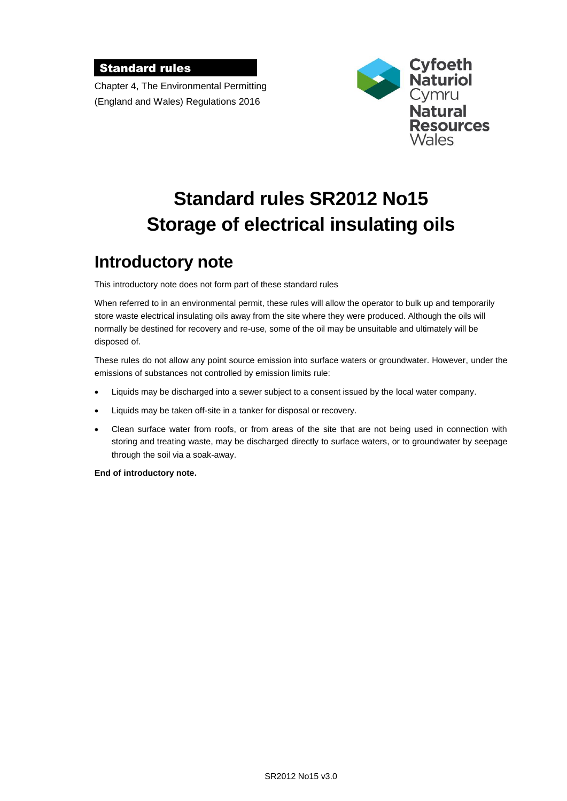#### Standard rules

Chapter 4, The Environmental Permitting (England and Wales) Regulations 2016



# **Standard rules SR2012 No15 Storage of electrical insulating oils**

# **Introductory note**

This introductory note does not form part of these standard rules

When referred to in an environmental permit, these rules will allow the operator to bulk up and temporarily store waste electrical insulating oils away from the site where they were produced. Although the oils will normally be destined for recovery and re-use, some of the oil may be unsuitable and ultimately will be disposed of.

These rules do not allow any point source emission into surface waters or groundwater. However, under the emissions of substances not controlled by emission limits rule:

- Liquids may be discharged into a sewer subject to a consent issued by the local water company.
- Liquids may be taken off-site in a tanker for disposal or recovery.
- Clean surface water from roofs, or from areas of the site that are not being used in connection with storing and treating waste, may be discharged directly to surface waters, or to groundwater by seepage through the soil via a soak-away.

**End of introductory note.**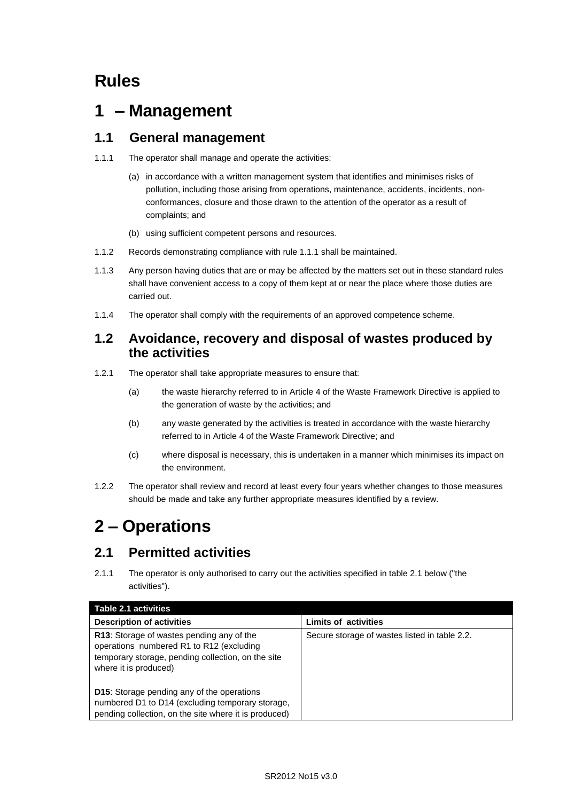## **Rules**

# **1 – Management**

#### **1.1 General management**

- 1.1.1 The operator shall manage and operate the activities:
	- (a) in accordance with a written management system that identifies and minimises risks of pollution, including those arising from operations, maintenance, accidents, incidents, nonconformances, closure and those drawn to the attention of the operator as a result of complaints; and
	- (b) using sufficient competent persons and resources.
- 1.1.2 Records demonstrating compliance with rule 1.1.1 shall be maintained.
- 1.1.3 Any person having duties that are or may be affected by the matters set out in these standard rules shall have convenient access to a copy of them kept at or near the place where those duties are carried out.
- 1.1.4 The operator shall comply with the requirements of an approved competence scheme.

#### **1.2 Avoidance, recovery and disposal of wastes produced by the activities**

- 1.2.1 The operator shall take appropriate measures to ensure that:
	- (a) the waste hierarchy referred to in Article 4 of the Waste Framework Directive is applied to the generation of waste by the activities; and
	- (b) any waste generated by the activities is treated in accordance with the waste hierarchy referred to in Article 4 of the Waste Framework Directive; and
	- (c) where disposal is necessary, this is undertaken in a manner which minimises its impact on the environment.
- 1.2.2 The operator shall review and record at least every four years whether changes to those measures should be made and take any further appropriate measures identified by a review.

# **2 – Operations**

### **2.1 Permitted activities**

2.1.1 The operator is only authorised to carry out the activities specified in table 2.1 below ("the activities").

| Table 2.1 activities                                                                                                                                                 |                                               |
|----------------------------------------------------------------------------------------------------------------------------------------------------------------------|-----------------------------------------------|
| <b>Description of activities</b>                                                                                                                                     | <b>Limits of activities</b>                   |
| R13: Storage of wastes pending any of the<br>operations numbered R1 to R12 (excluding<br>temporary storage, pending collection, on the site<br>where it is produced) | Secure storage of wastes listed in table 2.2. |
| <b>D15:</b> Storage pending any of the operations<br>numbered D1 to D14 (excluding temporary storage,<br>pending collection, on the site where it is produced)       |                                               |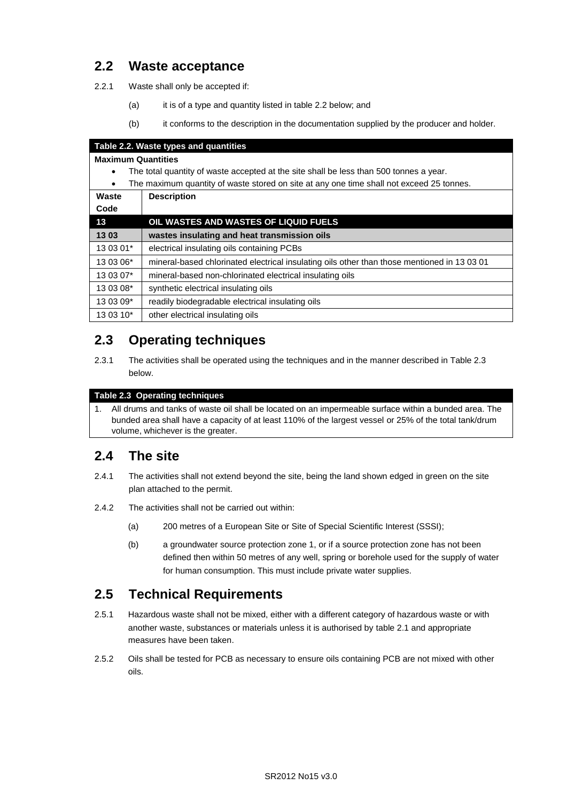### **2.2 Waste acceptance**

2.2.1 Waste shall only be accepted if:

- (a) it is of a type and quantity listed in table 2.2 below; and
- (b) it conforms to the description in the documentation supplied by the producer and holder.

| Table 2.2. Waste types and quantities                                                                 |                                                                                             |
|-------------------------------------------------------------------------------------------------------|---------------------------------------------------------------------------------------------|
| <b>Maximum Quantities</b>                                                                             |                                                                                             |
| The total quantity of waste accepted at the site shall be less than 500 tonnes a year.<br>$\bullet$   |                                                                                             |
| The maximum quantity of waste stored on site at any one time shall not exceed 25 tonnes.<br>$\bullet$ |                                                                                             |
| Waste                                                                                                 | <b>Description</b>                                                                          |
| Code                                                                                                  |                                                                                             |
| 13                                                                                                    | OIL WASTES AND WASTES OF LIQUID FUELS                                                       |
| 1303                                                                                                  | wastes insulating and heat transmission oils                                                |
| 13 03 01*                                                                                             | electrical insulating oils containing PCBs                                                  |
| 13 03 06*                                                                                             | mineral-based chlorinated electrical insulating oils other than those mentioned in 13 03 01 |
| 13 03 07*                                                                                             | mineral-based non-chlorinated electrical insulating oils                                    |
| 13 03 08*                                                                                             | synthetic electrical insulating oils                                                        |
| 13 03 09*                                                                                             | readily biodegradable electrical insulating oils                                            |
| 13 03 10*                                                                                             | other electrical insulating oils                                                            |

## **2.3 Operating techniques**

2.3.1 The activities shall be operated using the techniques and in the manner described in Table 2.3 below.

#### **Table 2.3 Operating techniques**

1. All drums and tanks of waste oil shall be located on an impermeable surface within a bunded area. The bunded area shall have a capacity of at least 110% of the largest vessel or 25% of the total tank/drum volume, whichever is the greater.

### **2.4 The site**

- 2.4.1 The activities shall not extend beyond the site, being the land shown edged in green on the site plan attached to the permit.
- 2.4.2 The activities shall not be carried out within:
	- (a) 200 metres of a European Site or Site of Special Scientific Interest (SSSI);
	- (b) a groundwater source protection zone 1, or if a source protection zone has not been defined then within 50 metres of any well, spring or borehole used for the supply of water for human consumption. This must include private water supplies.

### **2.5 Technical Requirements**

- 2.5.1 Hazardous waste shall not be mixed, either with a different category of hazardous waste or with another waste, substances or materials unless it is authorised by table 2.1 and appropriate measures have been taken.
- 2.5.2 Oils shall be tested for PCB as necessary to ensure oils containing PCB are not mixed with other oils.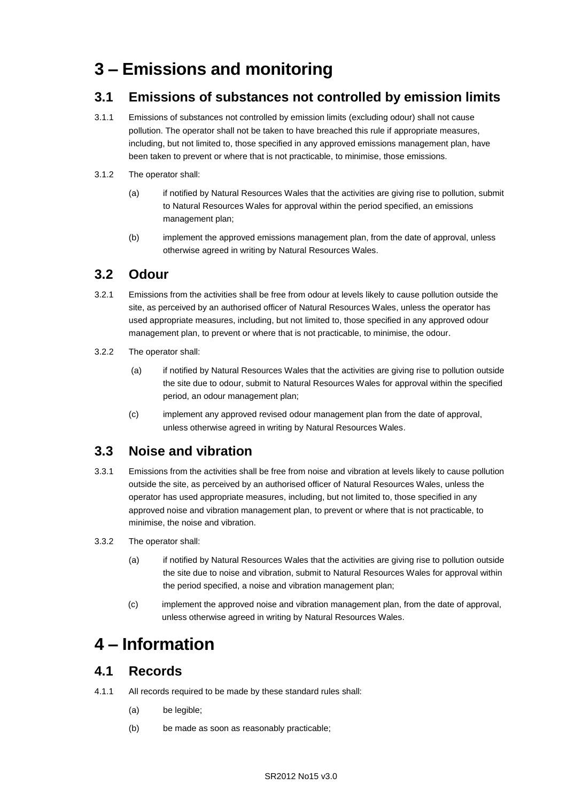# **3 – Emissions and monitoring**

#### **3.1 Emissions of substances not controlled by emission limits**

- 3.1.1 Emissions of substances not controlled by emission limits (excluding odour) shall not cause pollution. The operator shall not be taken to have breached this rule if appropriate measures, including, but not limited to, those specified in any approved emissions management plan, have been taken to prevent or where that is not practicable, to minimise, those emissions.
- 3.1.2 The operator shall:
	- (a) if notified by Natural Resources Wales that the activities are giving rise to pollution, submit to Natural Resources Wales for approval within the period specified, an emissions management plan;
	- (b) implement the approved emissions management plan, from the date of approval, unless otherwise agreed in writing by Natural Resources Wales.

#### **3.2 Odour**

- 3.2.1 Emissions from the activities shall be free from odour at levels likely to cause pollution outside the site, as perceived by an authorised officer of Natural Resources Wales, unless the operator has used appropriate measures, including, but not limited to, those specified in any approved odour management plan, to prevent or where that is not practicable, to minimise, the odour.
- 3.2.2 The operator shall:
	- (a) if notified by Natural Resources Wales that the activities are giving rise to pollution outside the site due to odour, submit to Natural Resources Wales for approval within the specified period, an odour management plan;
	- (c) implement any approved revised odour management plan from the date of approval, unless otherwise agreed in writing by Natural Resources Wales.

#### **3.3 Noise and vibration**

- 3.3.1 Emissions from the activities shall be free from noise and vibration at levels likely to cause pollution outside the site, as perceived by an authorised officer of Natural Resources Wales, unless the operator has used appropriate measures, including, but not limited to, those specified in any approved noise and vibration management plan, to prevent or where that is not practicable, to minimise, the noise and vibration.
- 3.3.2 The operator shall:
	- (a) if notified by Natural Resources Wales that the activities are giving rise to pollution outside the site due to noise and vibration, submit to Natural Resources Wales for approval within the period specified, a noise and vibration management plan;
	- (c) implement the approved noise and vibration management plan, from the date of approval, unless otherwise agreed in writing by Natural Resources Wales.

# **4 – Information**

#### **4.1 Records**

- 4.1.1 All records required to be made by these standard rules shall:
	- (a) be legible;
	- (b) be made as soon as reasonably practicable;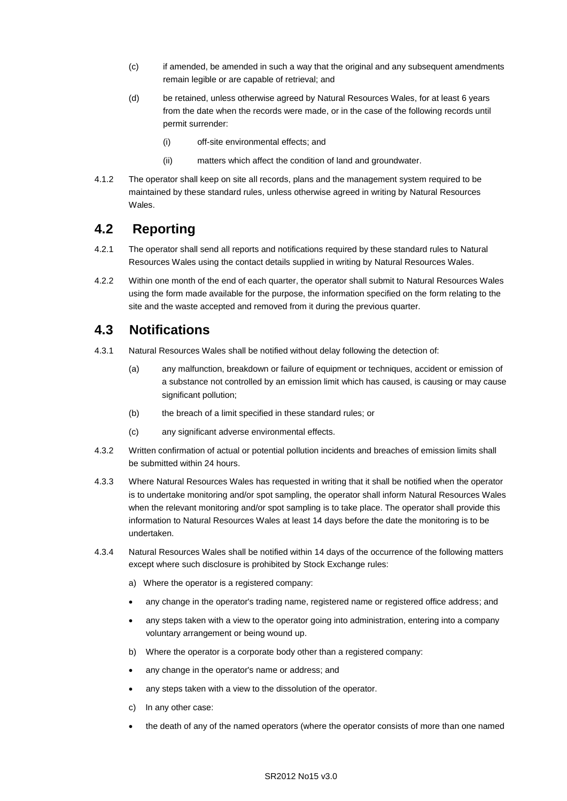- (c) if amended, be amended in such a way that the original and any subsequent amendments remain legible or are capable of retrieval; and
- (d) be retained, unless otherwise agreed by Natural Resources Wales, for at least 6 years from the date when the records were made, or in the case of the following records until permit surrender:
	- (i) off-site environmental effects; and
	- (ii) matters which affect the condition of land and groundwater.
- 4.1.2 The operator shall keep on site all records, plans and the management system required to be maintained by these standard rules, unless otherwise agreed in writing by Natural Resources Wales.

#### **4.2 Reporting**

- 4.2.1 The operator shall send all reports and notifications required by these standard rules to Natural Resources Wales using the contact details supplied in writing by Natural Resources Wales.
- 4.2.2 Within one month of the end of each quarter, the operator shall submit to Natural Resources Wales using the form made available for the purpose, the information specified on the form relating to the site and the waste accepted and removed from it during the previous quarter.

#### **4.3 Notifications**

- 4.3.1 Natural Resources Wales shall be notified without delay following the detection of:
	- (a) any malfunction, breakdown or failure of equipment or techniques, accident or emission of a substance not controlled by an emission limit which has caused, is causing or may cause significant pollution;
	- (b) the breach of a limit specified in these standard rules; or
	- (c) any significant adverse environmental effects.
- 4.3.2 Written confirmation of actual or potential pollution incidents and breaches of emission limits shall be submitted within 24 hours.
- 4.3.3 Where Natural Resources Wales has requested in writing that it shall be notified when the operator is to undertake monitoring and/or spot sampling, the operator shall inform Natural Resources Wales when the relevant monitoring and/or spot sampling is to take place. The operator shall provide this information to Natural Resources Wales at least 14 days before the date the monitoring is to be undertaken.
- 4.3.4 Natural Resources Wales shall be notified within 14 days of the occurrence of the following matters except where such disclosure is prohibited by Stock Exchange rules:
	- a) Where the operator is a registered company:
	- any change in the operator's trading name, registered name or registered office address; and
	- any steps taken with a view to the operator going into administration, entering into a company voluntary arrangement or being wound up.
	- b) Where the operator is a corporate body other than a registered company:
	- any change in the operator's name or address; and
	- any steps taken with a view to the dissolution of the operator.
	- c) In any other case:
	- the death of any of the named operators (where the operator consists of more than one named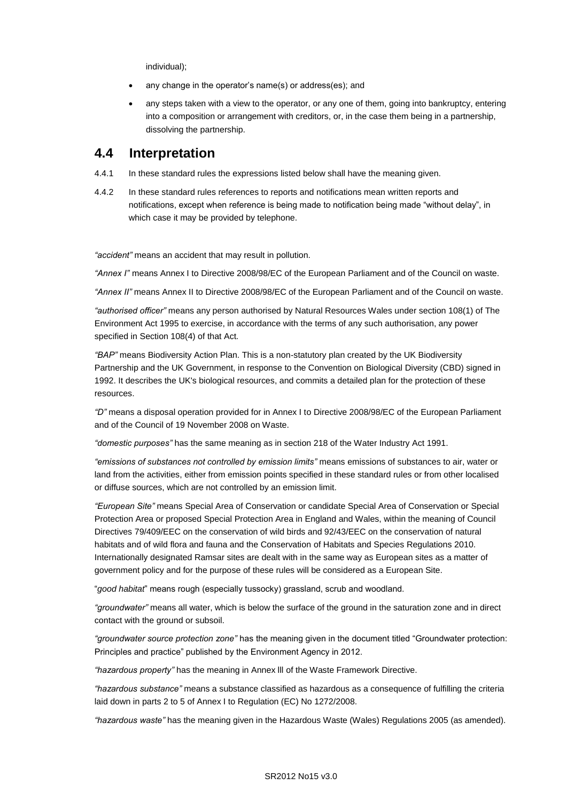individual);

- any change in the operator's name(s) or address(es); and
- any steps taken with a view to the operator, or any one of them, going into bankruptcy, entering into a composition or arrangement with creditors, or, in the case them being in a partnership, dissolving the partnership.

#### **4.4 Interpretation**

- 4.4.1 In these standard rules the expressions listed below shall have the meaning given.
- 4.4.2 In these standard rules references to reports and notifications mean written reports and notifications, except when reference is being made to notification being made "without delay", in which case it may be provided by telephone.

*"accident"* means an accident that may result in pollution.

*"Annex I"* means Annex I to Directive 2008/98/EC of the European Parliament and of the Council on waste.

*"Annex II"* means Annex II to Directive 2008/98/EC of the European Parliament and of the Council on waste.

*"authorised officer"* means any person authorised by Natural Resources Wales under section 108(1) of The Environment Act 1995 to exercise, in accordance with the terms of any such authorisation, any power specified in Section 108(4) of that Act*.*

*"BAP"* means Biodiversity Action Plan. This is a non-statutory plan created by the UK Biodiversity Partnership and the UK Government, in response to the Convention on Biological Diversity (CBD) signed in 1992. It describes the UK's biological resources, and commits a detailed plan for the protection of these resources.

*"D"* means a disposal operation provided for in Annex I to Directive 2008/98/EC of the European Parliament and of the Council of 19 November 2008 on Waste.

*"domestic purposes"* has the same meaning as in section 218 of the Water Industry Act 1991.

*"emissions of substances not controlled by emission limits"* means emissions of substances to air, water or land from the activities, either from emission points specified in these standard rules or from other localised or diffuse sources, which are not controlled by an emission limit.

*"European Site"* means Special Area of Conservation or candidate Special Area of Conservation or Special Protection Area or proposed Special Protection Area in England and Wales, within the meaning of Council Directives 79/409/EEC on the conservation of wild birds and 92/43/EEC on the conservation of natural habitats and of wild flora and fauna and the Conservation of Habitats and Species Regulations 2010. Internationally designated Ramsar sites are dealt with in the same way as European sites as a matter of government policy and for the purpose of these rules will be considered as a European Site.

"*good habitat*" means rough (especially tussocky) grassland, scrub and woodland.

*"groundwater"* means all water, which is below the surface of the ground in the saturation zone and in direct contact with the ground or subsoil.

*"groundwater source protection zone"* has the meaning given in the document titled "Groundwater protection: Principles and practice" published by the Environment Agency in 2012.

*"hazardous property"* has the meaning in Annex lll of the Waste Framework Directive.

*"hazardous substance"* means a substance classified as hazardous as a consequence of fulfilling the criteria laid down in parts 2 to 5 of Annex I to Regulation (EC) No 1272/2008.

*"hazardous waste"* has the meaning given in the Hazardous Waste (Wales) Regulations 2005 (as amended).